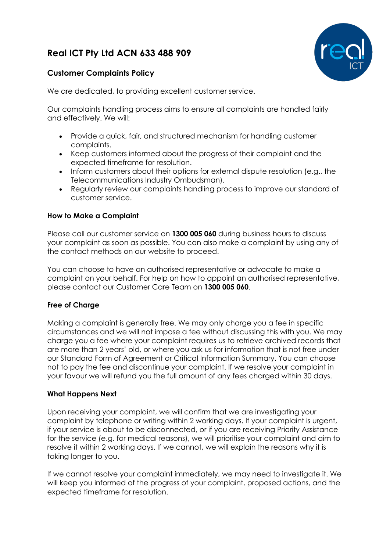# **Real ICT Pty Ltd ACN 633 488 909**



# **Customer Complaints Policy**

We are dedicated, to providing excellent customer service.

Our complaints handling process aims to ensure all complaints are handled fairly and effectively. We will:

- Provide a quick, fair, and structured mechanism for handling customer complaints.
- Keep customers informed about the progress of their complaint and the expected timeframe for resolution.
- Inform customers about their options for external dispute resolution (e.g., the Telecommunications Industry Ombudsman).
- Regularly review our complaints handling process to improve our standard of customer service.

#### **How to Make a Complaint**

Please call our customer service on **1300 005 060** during business hours to discuss your complaint as soon as possible. You can also make a complaint by using any of the contact methods on our website to proceed.

You can choose to have an authorised representative or advocate to make a complaint on your behalf. For help on how to appoint an authorised representative, please contact our Customer Care Team on **1300 005 060**.

#### **Free of Charge**

Making a complaint is generally free. We may only charge you a fee in specific circumstances and we will not impose a fee without discussing this with you. We may charge you a fee where your complaint requires us to retrieve archived records that are more than 2 years' old, or where you ask us for information that is not free under our Standard Form of Agreement or Critical Information Summary. You can choose not to pay the fee and discontinue your complaint. If we resolve your complaint in your favour we will refund you the full amount of any fees charged within 30 days.

#### **What Happens Next**

Upon receiving your complaint, we will confirm that we are investigating your complaint by telephone or writing within 2 working days. If your complaint is urgent, if your service is about to be disconnected, or if you are receiving Priority Assistance for the service (e.g. for medical reasons), we will prioritise your complaint and aim to resolve it within 2 working days. If we cannot, we will explain the reasons why it is taking longer to you.

If we cannot resolve your complaint immediately, we may need to investigate it. We will keep you informed of the progress of your complaint, proposed actions, and the expected timeframe for resolution.